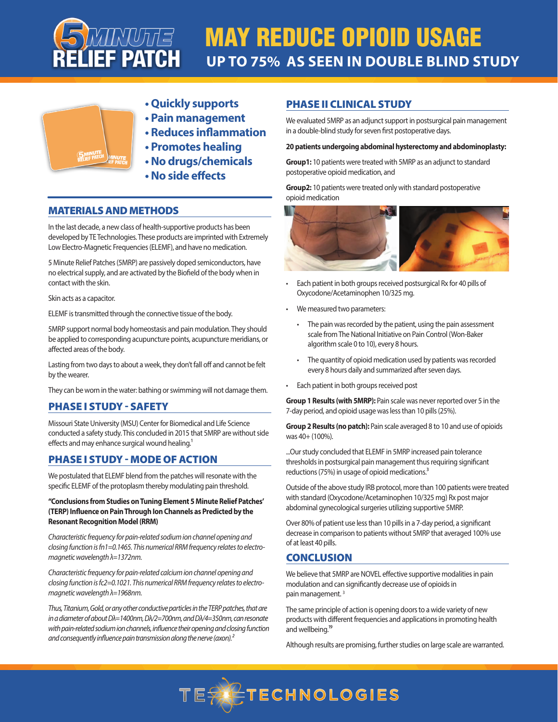

# MAY REDUCE OPIOID USAGE **UP TO 75% AS SEEN IN DOUBLE BLIND STUDY**



- **Quickly supports**
- **Pain management**
- **Reduces inflammation**
- **Promotes healing**
- **No drugs/chemicals**
- **No side effects**

## MATERIALS AND METHODS

In the last decade, a new class of health-supportive products has been developed by TE Technologies. These products are imprinted with Extremely Low Electro-Magnetic Frequencies (ELEMF), and have no medication.

5 Minute Relief Patches (5MRP) are passively doped semiconductors, have no electrical supply, and are activated by the Biofield of the body when in contact with the skin.

Skin acts as a capacitor.

ELEMF is transmitted through the connective tissue of the body.

5MRP support normal body homeostasis and pain modulation. They should be applied to corresponding acupuncture points, acupuncture meridians, or affected areas of the body.

Lasting from two days to about a week, they don't fall off and cannot be felt by the wearer.

They can be worn in the water: bathing or swimming will not damage them.

## PHASE I STUDY - SAFETY

Missouri State University (MSU) Center for Biomedical and Life Science conducted a safety study. This concluded in 2015 that 5MRP are without side effects and may enhance surgical wound healing.<sup>1</sup>

## PHASE I STUDY - MODE OF ACTION

We postulated that ELEMF blend from the patches will resonate with the specific ELEMF of the protoplasm thereby modulating pain threshold.

#### **"Conclusions from Studies on Tuning Element 5 Minute Relief Patches' (TERP) Influence on Pain Through Ion Channels as Predicted by the Resonant Recognition Model (RRM)**

*Characteristic frequency for pain-related sodium ion channel opening and closing function is fn1=0.1465. This numerical RRM frequency relates to electromagnetic wavelength λ=1372nm.* 

*Characteristic frequency for pain-related calcium ion channel opening and closing function is fc2=0.1021. This numerical RRM frequency relates to electromagnetic wavelength λ=1968nm.* 

*Thus, Titanium, Gold, or any other conductive particles in the TERP patches, that are in a diameter of about Dλ=1400nm, Dλ/2=700nm, and Dλ/4=350nm, can resonate*  with pain-related sodium ion channels, influence their opening and closing function *and consequently influence pain transmission along the nerve (axon).²*

## PHASE II CLINICAL STUDY

We evaluated 5MRP as an adjunct support in postsurgical pain management in a double-blind study for seven first postoperative days.

#### **20 patients undergoing abdominal hysterectomy and abdominoplasty:**

**Group1:** 10 patients were treated with 5MRP as an adjunct to standard postoperative opioid medication, and

**Group2:** 10 patients were treated only with standard postoperative opioid medication



- Each patient in both groups received postsurgical Rx for 40 pills of Oxycodone/Acetaminophen 10/325 mg.
- We measured two parameters:
	- The pain was recorded by the patient, using the pain assessment scale from The National Initiative on Pain Control (Won-Baker algorithm scale 0 to 10), every 8 hours.
	- The quantity of opioid medication used by patients was recorded every 8 hours daily and summarized after seven days.
- Each patient in both groups received post

**Group 1 Results (with 5MRP):** Pain scale was never reported over 5 in the 7-day period, and opioid usage was less than 10 pills (25%).

**Group 2 Results (no patch):** Pain scale averaged 8 to 10 and use of opioids was 40+ (100%).

...Our study concluded that ELEMF in 5MRP increased pain tolerance thresholds in postsurgical pain management thus requiring significant reductions (75%) in usage of opioid medications.<sup>3</sup>

Outside of the above study IRB protocol, more than 100 patients were treated with standard (Oxycodone/Acetaminophen 10/325 mg) Rx post major abdominal gynecological surgeries utilizing supportive 5MRP.

Over 80% of patient use less than 10 pills in a 7-day period, a significant decrease in comparison to patients without 5MRP that averaged 100% use of at least 40 pills.

## **CONCLUSION**

We believe that 5MRP are NOVEL effective supportive modalities in pain modulation and can significantly decrease use of opioids in pain management.<sup>3</sup>

The same principle of action is opening doors to a wide variety of new products with different frequencies and applications in promoting health and wellbeing.<sup>19</sup>

Although results are promising, further studies on large scale are warranted.